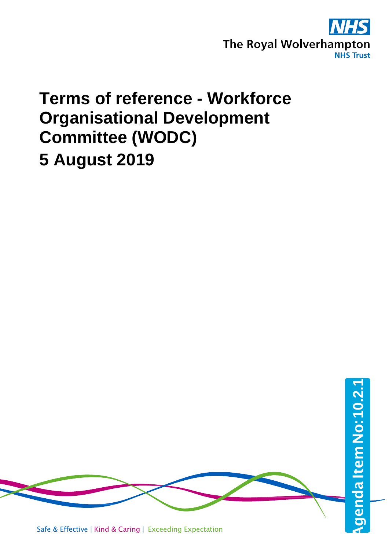

## **Terms of reference - Workforce Organisational Development Committee (WODC) 5 August 2019**

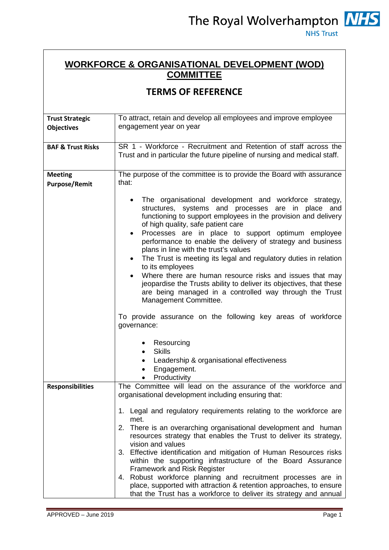## **WORKFORCE & ORGANISATIONAL DEVELOPMENT (WOD) COMMITTEE**

## **TERMS OF REFERENCE**

| <b>Trust Strategic</b><br><b>Objectives</b> | To attract, retain and develop all employees and improve employee<br>engagement year on year                                                                                                                                                                                                                                                                                                                                                                                                                                                                                                                                                                                                                                                                                                                                                                                                                  |
|---------------------------------------------|---------------------------------------------------------------------------------------------------------------------------------------------------------------------------------------------------------------------------------------------------------------------------------------------------------------------------------------------------------------------------------------------------------------------------------------------------------------------------------------------------------------------------------------------------------------------------------------------------------------------------------------------------------------------------------------------------------------------------------------------------------------------------------------------------------------------------------------------------------------------------------------------------------------|
| <b>BAF &amp; Trust Risks</b>                | SR 1 - Workforce - Recruitment and Retention of staff across the<br>Trust and in particular the future pipeline of nursing and medical staff.                                                                                                                                                                                                                                                                                                                                                                                                                                                                                                                                                                                                                                                                                                                                                                 |
| <b>Meeting</b><br><b>Purpose/Remit</b>      | The purpose of the committee is to provide the Board with assurance<br>that:                                                                                                                                                                                                                                                                                                                                                                                                                                                                                                                                                                                                                                                                                                                                                                                                                                  |
|                                             | The organisational development and workforce strategy,<br>$\bullet$<br>structures, systems and processes are in place and<br>functioning to support employees in the provision and delivery<br>of high quality, safe patient care<br>Processes are in place to support optimum employee<br>performance to enable the delivery of strategy and business<br>plans in line with the trust's values<br>The Trust is meeting its legal and regulatory duties in relation<br>$\bullet$<br>to its employees<br>Where there are human resource risks and issues that may<br>jeopardise the Trusts ability to deliver its objectives, that these<br>are being managed in a controlled way through the Trust<br>Management Committee.<br>To provide assurance on the following key areas of workforce<br>governance:<br>Resourcing<br>٠<br><b>Skills</b><br>$\bullet$<br>Leadership & organisational effectiveness<br>٠ |
|                                             | Engagement.<br>Productivity                                                                                                                                                                                                                                                                                                                                                                                                                                                                                                                                                                                                                                                                                                                                                                                                                                                                                   |
| <b>Responsibilities</b>                     | The Committee will lead on the assurance of the workforce and<br>organisational development including ensuring that:<br>1. Legal and regulatory requirements relating to the workforce are<br>met.<br>2. There is an overarching organisational development and human<br>resources strategy that enables the Trust to deliver its strategy,<br>vision and values<br>3. Effective identification and mitigation of Human Resources risks<br>within the supporting infrastructure of the Board Assurance<br><b>Framework and Risk Register</b><br>4. Robust workforce planning and recruitment processes are in<br>place, supported with attraction & retention approaches, to ensure<br>that the Trust has a workforce to deliver its strategy and annual                                                                                                                                                      |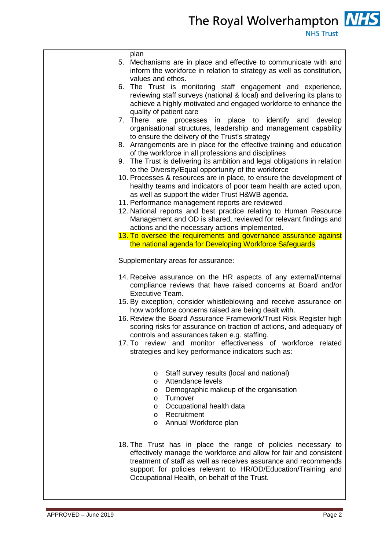The Royal Wolverhampton **NHS** 

| plan<br>5. Mechanisms are in place and effective to communicate with and<br>inform the workforce in relation to strategy as well as constitution,<br>values and ethos.                                                                                                                                                  |
|-------------------------------------------------------------------------------------------------------------------------------------------------------------------------------------------------------------------------------------------------------------------------------------------------------------------------|
| 6. The Trust is monitoring staff engagement and experience,<br>reviewing staff surveys (national & local) and delivering its plans to<br>achieve a highly motivated and engaged workforce to enhance the                                                                                                                |
| quality of patient care<br>7. There are processes in place to identify and develop<br>organisational structures, leadership and management capability<br>to ensure the delivery of the Trust's strategy                                                                                                                 |
| 8. Arrangements are in place for the effective training and education<br>of the workforce in all professions and disciplines                                                                                                                                                                                            |
| 9. The Trust is delivering its ambition and legal obligations in relation<br>to the Diversity/Equal opportunity of the workforce<br>10. Processes & resources are in place, to ensure the development of<br>healthy teams and indicators of poor team health are acted upon,                                            |
| as well as support the wider Trust H&WB agenda.<br>11. Performance management reports are reviewed                                                                                                                                                                                                                      |
| 12. National reports and best practice relating to Human Resource<br>Management and OD is shared, reviewed for relevant findings and<br>actions and the necessary actions implemented.                                                                                                                                  |
| 13. To oversee the requirements and governance assurance against<br>the national agenda for Developing Workforce Safeguards                                                                                                                                                                                             |
| Supplementary areas for assurance:                                                                                                                                                                                                                                                                                      |
| 14. Receive assurance on the HR aspects of any external/internal<br>compliance reviews that have raised concerns at Board and/or<br>Executive Team.<br>15. By exception, consider whistleblowing and receive assurance on<br>how workforce concerns raised are being dealt with.                                        |
| 16. Review the Board Assurance Framework/Trust Risk Register high<br>scoring risks for assurance on traction of actions, and adequacy of<br>controls and assurances taken e.g. staffing.                                                                                                                                |
| 17. To review and monitor effectiveness of workforce related<br>strategies and key performance indicators such as:                                                                                                                                                                                                      |
| Staff survey results (local and national)<br>$\circ$<br>Attendance levels<br>$\circ$<br>Demographic makeup of the organisation<br>$\circ$<br>Turnover<br>$\circ$                                                                                                                                                        |
| Occupational health data<br>$\circ$<br>Recruitment<br>$\circ$<br>o Annual Workforce plan                                                                                                                                                                                                                                |
| 18. The Trust has in place the range of policies necessary to<br>effectively manage the workforce and allow for fair and consistent<br>treatment of staff as well as receives assurance and recommends<br>support for policies relevant to HR/OD/Education/Training and<br>Occupational Health, on behalf of the Trust. |
|                                                                                                                                                                                                                                                                                                                         |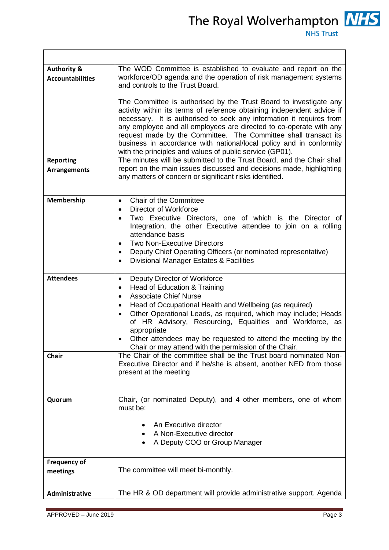The Royal Wolverhampton **NHS** 

| <b>Authority &amp;</b><br><b>Accountabilities</b> | The WOD Committee is established to evaluate and report on the<br>workforce/OD agenda and the operation of risk management systems<br>and controls to the Trust Board.                                                                                                                                                                                                                                                                                                                          |
|---------------------------------------------------|-------------------------------------------------------------------------------------------------------------------------------------------------------------------------------------------------------------------------------------------------------------------------------------------------------------------------------------------------------------------------------------------------------------------------------------------------------------------------------------------------|
|                                                   | The Committee is authorised by the Trust Board to investigate any<br>activity within its terms of reference obtaining independent advice if<br>necessary. It is authorised to seek any information it requires from<br>any employee and all employees are directed to co-operate with any<br>request made by the Committee. The Committee shall transact its<br>business in accordance with national/local policy and in conformity<br>with the principles and values of public service (GP01). |
| <b>Reporting</b><br><b>Arrangements</b>           | The minutes will be submitted to the Trust Board, and the Chair shall<br>report on the main issues discussed and decisions made, highlighting<br>any matters of concern or significant risks identified.                                                                                                                                                                                                                                                                                        |
| Membership                                        | Chair of the Committee<br>$\bullet$<br>Director of Workforce<br>$\bullet$<br>Two Executive Directors, one of which is the Director of<br>Integration, the other Executive attendee to join on a rolling<br>attendance basis<br><b>Two Non-Executive Directors</b><br>Deputy Chief Operating Officers (or nominated representative)<br>$\bullet$<br>Divisional Manager Estates & Facilities<br>$\bullet$                                                                                         |
| <b>Attendees</b>                                  | Deputy Director of Workforce<br>٠<br>Head of Education & Training<br>$\bullet$<br><b>Associate Chief Nurse</b><br>$\bullet$<br>Head of Occupational Health and Wellbeing (as required)<br>Other Operational Leads, as required, which may include; Heads<br>of HR Advisory, Resourcing, Equalities and Workforce, as<br>appropriate<br>Other attendees may be requested to attend the meeting by the<br>٠<br>Chair or may attend with the permission of the Chair.                              |
| <b>Chair</b>                                      | The Chair of the committee shall be the Trust board nominated Non-<br>Executive Director and if he/she is absent, another NED from those<br>present at the meeting                                                                                                                                                                                                                                                                                                                              |
| Quorum                                            | Chair, (or nominated Deputy), and 4 other members, one of whom<br>must be:                                                                                                                                                                                                                                                                                                                                                                                                                      |
|                                                   | An Executive director<br>A Non-Executive director<br>A Deputy COO or Group Manager                                                                                                                                                                                                                                                                                                                                                                                                              |
| <b>Frequency of</b><br>meetings                   | The committee will meet bi-monthly.                                                                                                                                                                                                                                                                                                                                                                                                                                                             |
| Administrative                                    | The HR & OD department will provide administrative support. Agenda                                                                                                                                                                                                                                                                                                                                                                                                                              |